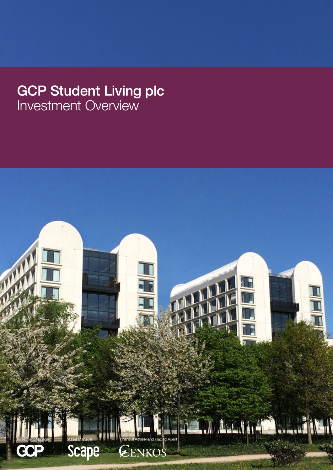# GCP Student Living plc Investment Overview

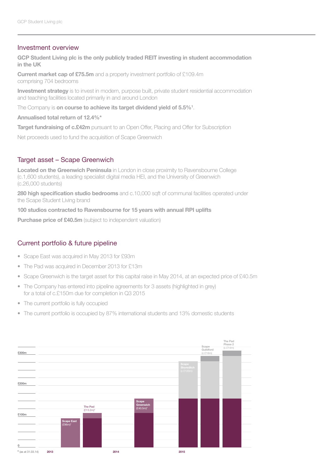## Investment overview

**GCP Student Living plc is the only publicly traded REIT investing in student accommodation in the UK**

**Current market cap of £75.5m** and a property investment portfolio of £109.4m comprising 704 bedrooms

**Investment strategy** is to invest in modern, purpose built, private student residential accommodation and teaching facilities located primarily in and around London

The Company is **on course to achieve its target dividend yield of 5.5%1** .

#### **Annualised total return of 12.4%\***

**Target fundraising of c.£42m** pursuant to an Open Offer, Placing and Offer for Subscription

Net proceeds used to fund the acquisition of Scape Greenwich

#### Target asset – Scape Greenwich

**Located on the Greenwich Peninsula** in London in close proximity to Ravensbourne College (c.1,600 students), a leading specialist digital media HEI, and the University of Greenwich (c.26,000 students)

**280 high specification studio bedrooms** and c.10,000 sqft of communal facilities operated under the Scape Student Living brand

#### **100 studios contracted to Ravensbourne for 15 years with annual RPI uplifts**

**Purchase price of £40.5m** (subject to independent valuation)

### Current portfolio & future pipeline

- Scape East was acquired in May 2013 for £93m
- The Pad was acquired in December 2013 for £13m
- Scape Greenwich is the target asset for this capital raise in May 2014, at an expected price of £40.5m
- The Company has entered into pipeline agreements for 3 assets (highlighted in grey) for a total of c.£150m due for completion in Q3 2015
- The current portfolio is fully occupied
- The current portfolio is occupied by 87% international students and 13% domestic students

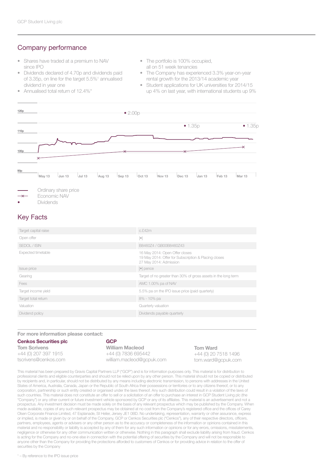## Company performance

- Shares have traded at a premium to NAV since IPO
- Dividends declared of 4.70p and dividends paid of 3.35p, on line for the target 5.5%<sup>1</sup> annualised dividend in year one
- Annualised total return of 12.4%\*
- The portfolio is 100% occupied, all on 51 week tenancies
- The Company has experienced 3.3% year-on-year rental growth for the 2013/14 academic year
- Student applications for UK universities for 2014/15 up 4% on last year, with international students up 9%





- **Dividends**
- 

# Key Facts

| Target capital raise | c.f.42m                                                                                                          |
|----------------------|------------------------------------------------------------------------------------------------------------------|
| Open offer           | $[ \bullet ]$                                                                                                    |
| SEDOL / ISIN         | B8460Z4 / GB00B8460Z43                                                                                           |
| Expected timetable   | 16 May 2014: Open Offer closes<br>19 May 2014: Offer for Subscription & Placing closes<br>27 May 2014: Admission |
| <b>Issue price</b>   | $\lceil \bullet \rceil$ pence                                                                                    |
| Gearing              | Target of no greater than 30% of gross assets in the long term                                                   |
| Fees                 | AMC 1.00% pa of NAV                                                                                              |
| Target income yield  | 5.5% pa on the IPO issue price (paid quarterly)                                                                  |
| Target total return  | 8% - 10% pa                                                                                                      |
| Valuation            | Quarterly valuation                                                                                              |
| Dividend policy      | Dividends payable quarterly                                                                                      |
|                      |                                                                                                                  |

#### **For more information please contact:**

| <b>Cenkos Securities plc</b> | <b>GCP</b>                |
|------------------------------|---------------------------|
| <b>Tom Scrivens</b>          | <b>William Macleod</b>    |
| +44 (0) 207 397 1915         | +44 (0) 7836 695442       |
| tscrivens@cenkos.com         | william.macleod@gcpuk.com |

**Tom Ward** +44 (0) 20 7518 1496 tom.ward@gcpuk.com

This material has been prepared by Gravis Capital Partners LLP ("GCP") and is for information purposes only. This material is for distribution to professional clients and eligible counterparties and should not be relied upon by any other person. This material should not be copied or distributed by recipients and, in particular, should not be distributed by any means including electronic transmission, to persons with addresses in the United States of America, Australia, Canada, Japan or the Republic of South Africa their possessions or territories or to any citizens thereof, or to any corporation, partnership or such entity created or organised under the laws thereof. Any such distribution could result in a violation of the laws of such countries. This material does not constitute an offer to sell or a solicitation of an offer to purchase an interest in GCP Student Living plc (the "Company") or any other current or future investment vehicle sponsored by GCP or any of its affiliates. This material is an advertisement and not a prospectus. Any investment decision must be made solely on the basis of any relevant prospectus which may be published by the Company. When made available, copies of any such relevant prospectus may be obtained at no cost from the Company's registered office and the offices of Carey Olsen Corporate Finance Limited, 47 Esplanade, St Helier, Jersey JE1 0BD. No undertaking, representation, warranty or other assurance, express or implied, is made or given by or on behalf of the Company, GCP or Cenkos Securities plc ("Cenkos"), any of their respective directors, officers, partners, employees, agents or advisers or any other person as to the accuracy or completeness of the information or opinions contained in this material and no responsibility or liability is accepted by any of them for any such information or opinions or for any errors, omissions, misstatements, negligence or otherwise for any other communication written or otherwise. Nothing in this paragraph shall exclude liability arising from fraud. Cenkos is acting for the Company and no-one else in connection with the potential offering of securities by the Company and will not be responsible to anyone other than the Company for providing the protections afforded to customers of Cenkos or for providing advice in relation to the offer of securities by the Company